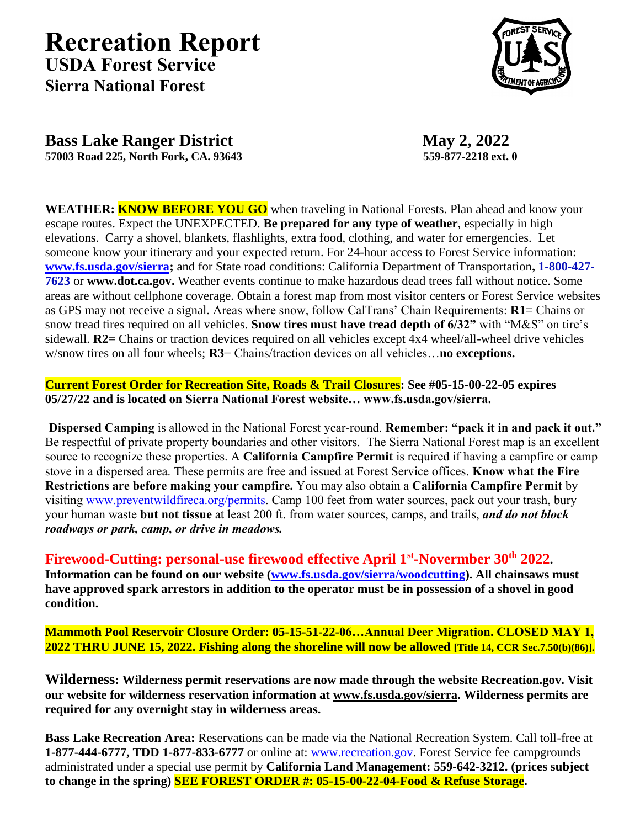

## **Bass Lake Ranger District May 2, 2022**

**57003 Road 225, North Fork, CA. 93643 559-877-2218 ext. 0**

**WEATHER: KNOW BEFORE YOU GO** when traveling in National Forests. Plan ahead and know your escape routes. Expect the UNEXPECTED. **Be prepared for any type of weather**, especially in high elevations.Carry a shovel, blankets, flashlights, extra food, clothing, and water for emergencies. Let someone know your itinerary and your expected return. For 24-hour access to Forest Service information: **[www.fs.usda.gov/sierra;](http://www.fs.usda.gov/sierra)** and for State road conditions: California Department of Transportation**, 1-800-427- 7623** or **[www.dot.ca.gov.](http://www.dot.ca.gov/)** Weather events continue to make hazardous dead trees fall without notice. Some areas are without cellphone coverage. Obtain a forest map from most visitor centers or Forest Service websites as GPS may not receive a signal. Areas where snow, follow CalTrans' Chain Requirements: **R1**= Chains or snow tread tires required on all vehicles. **Snow tires must have tread depth of 6/32"** with "M&S" on tire's sidewall. **R2**= Chains or traction devices required on all vehicles except 4x4 wheel/all-wheel drive vehicles w/snow tires on all four wheels; **R3**= Chains/traction devices on all vehicles…**no exceptions.**

**Current Forest Order for Recreation Site, Roads & Trail Closures: See #05-15-00-22-05 expires 05/27/22 and is located on Sierra National Forest website… www.fs.usda.gov/sierra.** 

**Dispersed Camping** is allowed in the National Forest year-round. **Remember: "pack it in and pack it out."** Be respectful of private property boundaries and other visitors. The Sierra National Forest map is an excellent source to recognize these properties. A **California Campfire Permit** is required if having a campfire or camp stove in a dispersed area. These permits are free and issued at Forest Service offices. **Know what the Fire Restrictions are before making your campfire.** You may also obtain a **California Campfire Permit** by visiting [www.preventwildfireca.org/permits.](http://www.preventwildfireca.org/permits) Camp 100 feet from water sources, pack out your trash, bury your human waste **but not tissue** at least 200 ft. from water sources, camps, and trails, *and do not block roadways or park, camp, or drive in meadows.*

## **Firewood-Cutting: personal-use firewood effective April 1st -Novermber 30th 2022.**

**Information can be found on our website [\(www.fs.usda.gov/sierra/woodcutting\)](http://www.fs.usda.gov/sierra/woodcutting). All chainsaws must have approved spark arrestors in addition to the operator must be in possession of a shovel in good condition.** 

**Mammoth Pool Reservoir Closure Order: 05-15-51-22-06…Annual Deer Migration. CLOSED MAY 1, 2022 THRU JUNE 15, 2022. Fishing along the shoreline will now be allowed [Title 14, CCR Sec.7.50(b)(86)].**

**Wilderness: Wilderness permit reservations are now made through the website Recreation.gov. Visit our website for wilderness reservation information at [www.fs.usda.gov/sierra.](http://www.fs.usda.gov/sierra) Wilderness permits are required for any overnight stay in wilderness areas.** 

**Bass Lake Recreation Area:** Reservations can be made via the National Recreation System. Call toll-free at **1-877-444-6777, TDD 1-877-833-6777** or online at: [www.recreation.gov.](http://www.recreation.gov/) Forest Service fee campgrounds administrated under a special use permit by **California Land Management: 559-642-3212. (prices subject to change in the spring) SEE FOREST ORDER #: 05-15-00-22-04-Food & Refuse Storage.**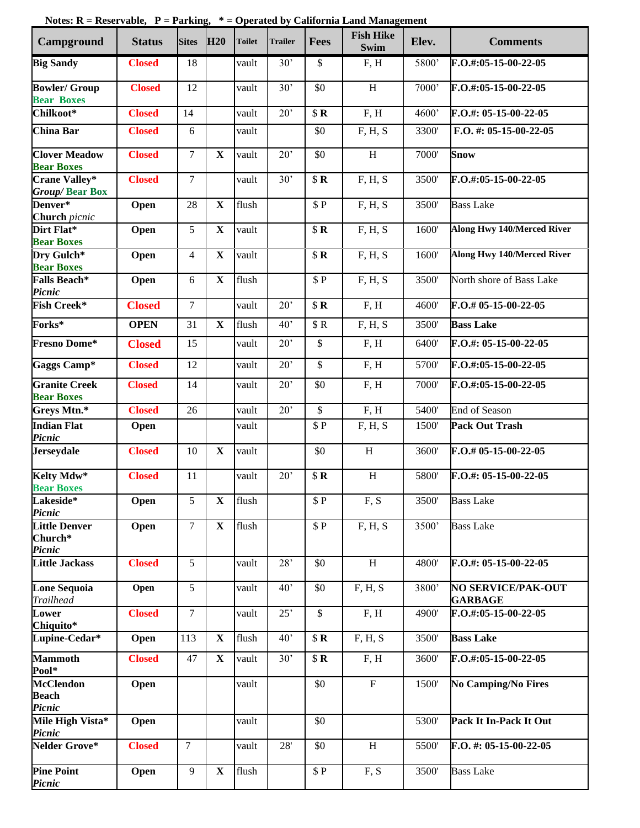|  |  | Notes: $R =$ Reservable, $P =$ Parking, $* =$ Operated by California Land Management |
|--|--|--------------------------------------------------------------------------------------|
|--|--|--------------------------------------------------------------------------------------|

| Campground                                      | <b>Status</b> | <b>Sites</b>   | <b>H20</b>   | <b>Toilet</b> | <b>Trailer</b>  | <b>Fees</b>              | <b>Fish Hike</b><br>Swim | Elev.             | <b>Comments</b>                             |
|-------------------------------------------------|---------------|----------------|--------------|---------------|-----------------|--------------------------|--------------------------|-------------------|---------------------------------------------|
| <b>Big Sandy</b>                                | <b>Closed</b> | 18             |              | vault         | 30'             | $\mathbb{S}$             | F, H                     | 5800'             | F.O.#:05-15-00-22-05                        |
| <b>Bowler/ Group</b><br><b>Bear Boxes</b>       | <b>Closed</b> | 12             |              | vault         | 30'             | \$0                      | $\, {\rm H}$             | 7000'             | $F. O. #: 05-15-00-22-05$                   |
| Chilkoot*                                       | <b>Closed</b> | 14             |              | vault         | 20'             | \$R                      | F, H                     | 4600'             | $F.O.#: 05-15-00-22-05$                     |
| <b>China Bar</b>                                | <b>Closed</b> | 6              |              | vault         |                 | \$0                      | F, H, S                  | 3300'             | $F.O. #: 05-15-00-22-05$                    |
| <b>Clover Meadow</b><br><b>Bear Boxes</b>       | <b>Closed</b> | $\tau$         | $\mathbf{X}$ | vault         | 20'             | \$0                      | $\mathbf H$              | 7000'             | <b>Snow</b>                                 |
| <b>Crane Valley*</b><br><b>Group/Bear Box</b>   | <b>Closed</b> | $\overline{7}$ |              | vault         | 30'             | \$R                      | F, H, S                  | 3500'             | $F. O. #: 05-15-00-22-05$                   |
| $\overline{\mathbf{D}}$ enver*<br>Church picnic | Open          | 28             | $\mathbf X$  | flush         |                 | \$P                      | F, H, S                  | 3500'             | <b>Bass Lake</b>                            |
| Dirt Flat*<br><b>Bear Boxes</b>                 | Open          | 5              | $\mathbf X$  | vault         |                 | \$R                      | F, H, S                  | 1600'             | <b>Along Hwy 140/Merced River</b>           |
| Dry Gulch*<br><b>Bear Boxes</b>                 | Open          | $\overline{4}$ | $\mathbf X$  | vault         |                 | \$R                      | F, H, S                  | 1600'             | <b>Along Hwy 140/Merced River</b>           |
| <b>Falls Beach*</b><br>Picnic                   | Open          | 6              | $\mathbf X$  | flush         |                 | \$P                      | F, H, S                  | 3500'             | North shore of Bass Lake                    |
| Fish Creek*                                     | <b>Closed</b> | $\overline{7}$ |              | vault         | 20'             | \$R                      | F, H                     | 4600'             | $F.O.# 05-15-00-22-05$                      |
| Forks*                                          | <b>OPEN</b>   | 31             | $\mathbf{X}$ | flush         | 40'             | \$R                      | F, H, S                  | 3500'             | <b>Bass Lake</b>                            |
| <b>Fresno Dome*</b>                             | <b>Closed</b> | 15             |              | vault         | 20'             | $\mathbb{S}$             | F, H                     | 6400'             | $F.O.#: 05-15-00-22-05$                     |
| Gaggs Camp*                                     | <b>Closed</b> | 12             |              | vault         | 20'             | $\mathbb{S}$             | F, H                     | 5700'             | F.O.#:05-15-00-22-05                        |
| <b>Granite Creek</b><br><b>Bear Boxes</b>       | <b>Closed</b> | 14             |              | vault         | 20'             | \$0                      | F, H                     | 7000'             | F.O.#:05-15-00-22-05                        |
| Greys Mtn.*                                     | <b>Closed</b> | 26             |              | vault         | 20'             | $\mathbb{S}$             | F, H                     | 5400'             | <b>End of Season</b>                        |
| <b>Indian Flat</b><br>Picnic                    | Open          |                |              | vault         |                 | \$P                      | F, H, S                  | 1500'             | <b>Pack Out Trash</b>                       |
| <b>Jerseydale</b>                               | <b>Closed</b> | 10             | $\mathbf X$  | vault         |                 | \$0                      | $\, {\rm H}$             | 3600'             | $F.O.# 05-15-00-22-05$                      |
| Kelty Mdw*<br><b>Bear Boxes</b>                 | <b>Closed</b> | 11             |              | vault         | 20'             | \$R                      | $\, {\rm H}$             | 5800'             | $F.O.#: 05-15-00-22-05$                     |
| Lakeside*<br>Picnic                             | Open          | 5              | $\mathbf{X}$ | flush         |                 | \$P                      | F, S                     | 3500'             | <b>Bass Lake</b>                            |
| <b>Little Denver</b><br>Church*<br>Picnic       | Open          | $\overline{7}$ | $\mathbf{X}$ | flush         |                 | \$P                      | F, H, S                  | 3500 <sup>'</sup> | <b>Bass Lake</b>                            |
| <b>Little Jackass</b>                           | <b>Closed</b> | 5              |              | vault         | 28'             | \$0                      | H                        | 4800'             | $F.O.#: 05-15-00-22-05$                     |
| <b>Lone Sequoia</b><br><b>Trailhead</b>         | Open          | 5              |              | vault         | 40 <sup>o</sup> | $\overline{30}$          | F, H, S                  | 3800'             | <b>NO SERVICE/PAK-OUT</b><br><b>GARBAGE</b> |
| Lower<br>Chiquito*                              | <b>Closed</b> | $\overline{7}$ |              | vault         | 25'             | $\overline{\mathcal{S}}$ | F, H                     | 4900'             | F.O.#:05-15-00-22-05                        |
| Lupine-Cedar*                                   | Open          | 113            | $\mathbf{X}$ | flush         | 40 <sup>o</sup> | \$R                      | F, H, S                  | 3500'             | <b>Bass Lake</b>                            |
| <b>Mammoth</b><br>Pool*                         | <b>Closed</b> | 47             | $\mathbf{X}$ | vault         | 30 <sup>2</sup> | \$R                      | F, H                     | 3600'             | $F.O.#:05-15-00-22-05$                      |
| <b>McClendon</b><br><b>Beach</b><br>Picnic      | Open          |                |              | vault         |                 | \$0                      | $\mathbf F$              | 1500'             | <b>No Camping/No Fires</b>                  |
| Mile High Vista*<br>Picnic                      | Open          |                |              | vault         |                 | \$0                      |                          | 5300'             | Pack It In-Pack It Out                      |
| Nelder Grove*                                   | <b>Closed</b> | $\overline{7}$ |              | vault         | $28'$           | \$0                      | H                        | 5500'             | $F.O. \#: 05-15-00-22-05$                   |
| <b>Pine Point</b><br>Picnic                     | Open          | 9              | $\mathbf X$  | flush         |                 | \$P                      | F, S                     | 3500'             | <b>Bass Lake</b>                            |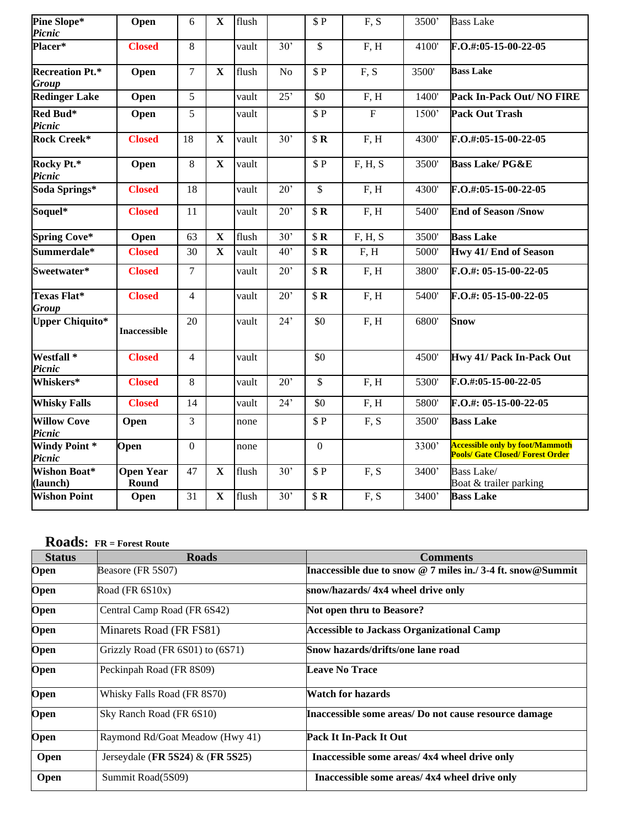| Pine Slope*<br>Picnic                  | Open                      | 6              | $\mathbf X$ | flush |     | \$P            | F, S        | 3500 <sup>'</sup> | <b>Bass Lake</b>                                                                  |
|----------------------------------------|---------------------------|----------------|-------------|-------|-----|----------------|-------------|-------------------|-----------------------------------------------------------------------------------|
| Placer*                                | <b>Closed</b>             | 8              |             | vault | 30' | $\mathbb{S}$   | F, H        | 4100'             | F.O.#:05-15-00-22-05                                                              |
| <b>Recreation Pt.*</b><br><b>Group</b> | Open                      | $\overline{7}$ | $\mathbf X$ | flush | No  | \$P            | F, S        | 3500'             | <b>Bass Lake</b>                                                                  |
| <b>Redinger Lake</b>                   | Open                      | 5              |             | vault | 25' | \$0            | F, H        | 1400'             | Pack In-Pack Out/ NO FIRE                                                         |
| Red Bud*<br>Picnic                     | Open                      | 5              |             | vault |     | \$P            | $\mathbf F$ | 1500'             | <b>Pack Out Trash</b>                                                             |
| Rock Creek*                            | <b>Closed</b>             | 18             | $\mathbf X$ | vault | 30' | \$R            | F, H        | 4300'             | F.O.#:05-15-00-22-05                                                              |
| Rocky Pt.*<br>Picnic                   | Open                      | 8              | $\mathbf X$ | vault |     | \$P            | F, H, S     | 3500'             | <b>Bass Lake/ PG&amp;E</b>                                                        |
| Soda Springs*                          | <b>Closed</b>             | 18             |             | vault | 20' | $\mathbb{S}$   | F, H        | 4300'             | F.O.#:05-15-00-22-05                                                              |
| Soquel*                                | <b>Closed</b>             | 11             |             | vault | 20' | \$R            | F, H        | 5400'             | <b>End of Season /Snow</b>                                                        |
| <b>Spring Cove*</b>                    | Open                      | 63             | $\mathbf X$ | flush | 30' | \$R            | F, H, S     | 3500'             | <b>Bass Lake</b>                                                                  |
| Summerdale*                            | <b>Closed</b>             | 30             | $\mathbf X$ | vault | 40' | \$R            | F, H        | 5000'             | Hwy 41/ End of Season                                                             |
| Sweetwater*                            | <b>Closed</b>             | $\overline{7}$ |             | vault | 20' | \$R            | F, H        | 3800'             | F.O.#: 05-15-00-22-05                                                             |
| <b>Texas Flat*</b><br><b>Group</b>     | <b>Closed</b>             | $\overline{4}$ |             | vault | 20' | \$R            | F, H        | 5400'             | $F.O.#: 05-15-00-22-05$                                                           |
| <b>Upper Chiquito*</b>                 | <b>Inaccessible</b>       | 20             |             | vault | 24' | \$0            | F, H        | 6800'             | <b>Snow</b>                                                                       |
| Westfall <sup>*</sup><br>Picnic        | <b>Closed</b>             | $\overline{4}$ |             | vault |     | \$0            |             | 4500'             | Hwy 41/ Pack In-Pack Out                                                          |
| Whiskers*                              | <b>Closed</b>             | 8              |             | vault | 20' | $\mathbb{S}$   | F, H        | 5300'             | F.O.#:05-15-00-22-05                                                              |
| <b>Whisky Falls</b>                    | <b>Closed</b>             | 14             |             | vault | 24' | \$0            | F, H        | 5800'             | F.O.#: 05-15-00-22-05                                                             |
| <b>Willow Cove</b><br>Picnic           | Open                      | $\overline{3}$ |             | none  |     | \$P            | F, S        | 3500'             | <b>Bass Lake</b>                                                                  |
| <b>Windy Point*</b><br>Picnic          | Open                      | $\theta$       |             | none  |     | $\overline{0}$ |             | 3300 <sup>*</sup> | <b>Accessible only by foot/Mammoth</b><br><b>Pools/ Gate Closed/ Forest Order</b> |
| <b>Wishon Boat*</b><br>(launch)        | <b>Open Year</b><br>Round | 47             | $\mathbf X$ | flush | 30' | \$P            | F, S        | 3400 <sup>'</sup> | Bass Lake/<br>Boat & trailer parking                                              |
| <b>Wishon Point</b>                    | Open                      | 31             | $\mathbf X$ | flush | 30' | \$R            | F, S        | 3400 <sup>'</sup> | <b>Bass Lake</b>                                                                  |

## **Roads: FR = Forest Route**

| <b>Status</b> | <b>Roads</b>                        | <b>Comments</b>                                             |
|---------------|-------------------------------------|-------------------------------------------------------------|
| <b>Open</b>   | Beasore (FR 5S07)                   | Inaccessible due to snow @ 7 miles in./ 3-4 ft. snow@Summit |
| Open          | Road (FR $6S10x$ )                  | snow/hazards/ 4x4 wheel drive only                          |
| Open          | Central Camp Road (FR 6S42)         | Not open thru to Beasore?                                   |
| Open          | Minarets Road (FR FS81)             | <b>Accessible to Jackass Organizational Camp</b>            |
| Open          | Grizzly Road (FR 6S01) to (6S71)    | Snow hazards/drifts/one lane road                           |
| Open          | Peckinpah Road (FR 8S09)            | <b>Leave No Trace</b>                                       |
| Open          | Whisky Falls Road (FR 8S70)         | Watch for hazards                                           |
| Open          | Sky Ranch Road (FR 6S10)            | Inaccessible some areas/ Do not cause resource damage       |
| <b>Open</b>   | Raymond Rd/Goat Meadow (Hwy 41)     | Pack It In-Pack It Out                                      |
| Open          | Jerseydale (FR 5S24) $\&$ (FR 5S25) | Inaccessible some areas/4x4 wheel drive only                |
| Open          | Summit Road(5S09)                   | Inaccessible some areas/4x4 wheel drive only                |